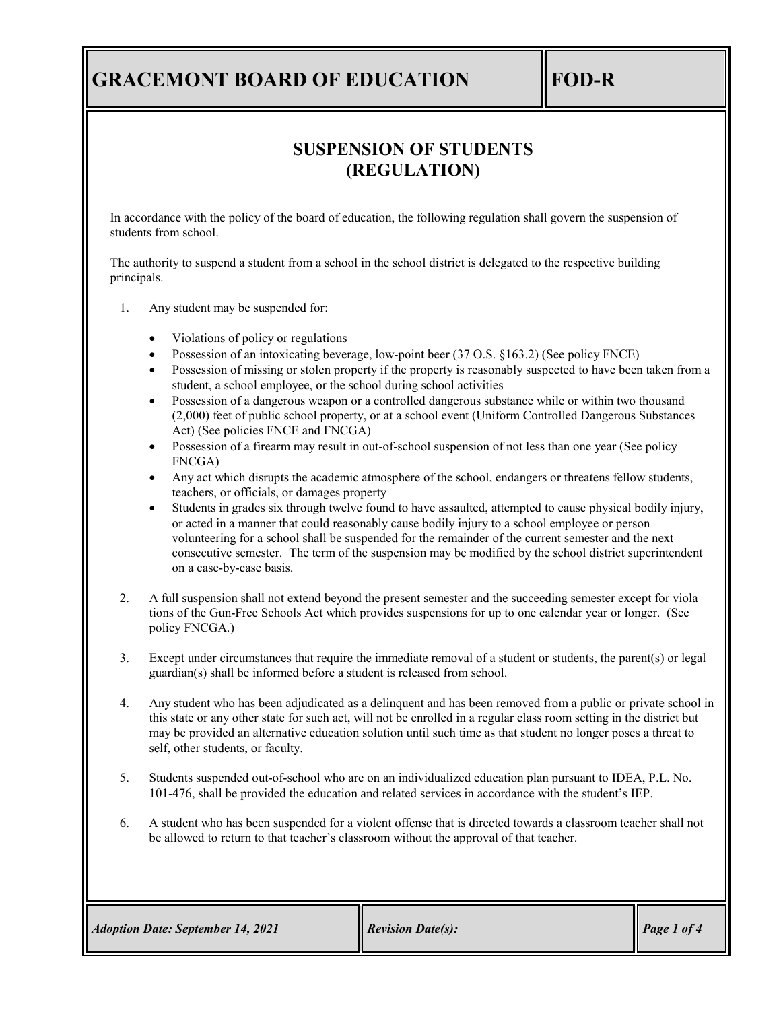# **GRACEMONT BOARD OF EDUCATION FOD-R**

## **SUSPENSION OF STUDENTS (REGULATION)**

In accordance with the policy of the board of education, the following regulation shall govern the suspension of students from school.

The authority to suspend a student from a school in the school district is delegated to the respective building principals.

- 1. Any student may be suspended for:
	- Violations of policy or regulations
	- Possession of an intoxicating beverage, low-point beer (37 O.S. §163.2) (See policy FNCE)
	- Possession of missing or stolen property if the property is reasonably suspected to have been taken from a student, a school employee, or the school during school activities
	- Possession of a dangerous weapon or a controlled dangerous substance while or within two thousand (2,000) feet of public school property, or at a school event (Uniform Controlled Dangerous Substances Act) (See policies FNCE and FNCGA)
	- Possession of a firearm may result in out-of-school suspension of not less than one year (See policy FNCGA)
	- Any act which disrupts the academic atmosphere of the school, endangers or threatens fellow students, teachers, or officials, or damages property
	- Students in grades six through twelve found to have assaulted, attempted to cause physical bodily injury, or acted in a manner that could reasonably cause bodily injury to a school employee or person volunteering for a school shall be suspended for the remainder of the current semester and the next consecutive semester. The term of the suspension may be modified by the school district superintendent on a case-by-case basis.
- 2. A full suspension shall not extend beyond the present semester and the succeeding semester except for viola tions of the Gun-Free Schools Act which provides suspensions for up to one calendar year or longer. (See policy FNCGA.)
- 3. Except under circumstances that require the immediate removal of a student or students, the parent(s) or legal guardian(s) shall be informed before a student is released from school.
- 4. Any student who has been adjudicated as a delinquent and has been removed from a public or private school in this state or any other state for such act, will not be enrolled in a regular class room setting in the district but may be provided an alternative education solution until such time as that student no longer poses a threat to self, other students, or faculty.
- 5. Students suspended out-of-school who are on an individualized education plan pursuant to IDEA, P.L. No. 101-476, shall be provided the education and related services in accordance with the student's IEP.
- 6. A student who has been suspended for a violent offense that is directed towards a classroom teacher shall not be allowed to return to that teacher's classroom without the approval of that teacher.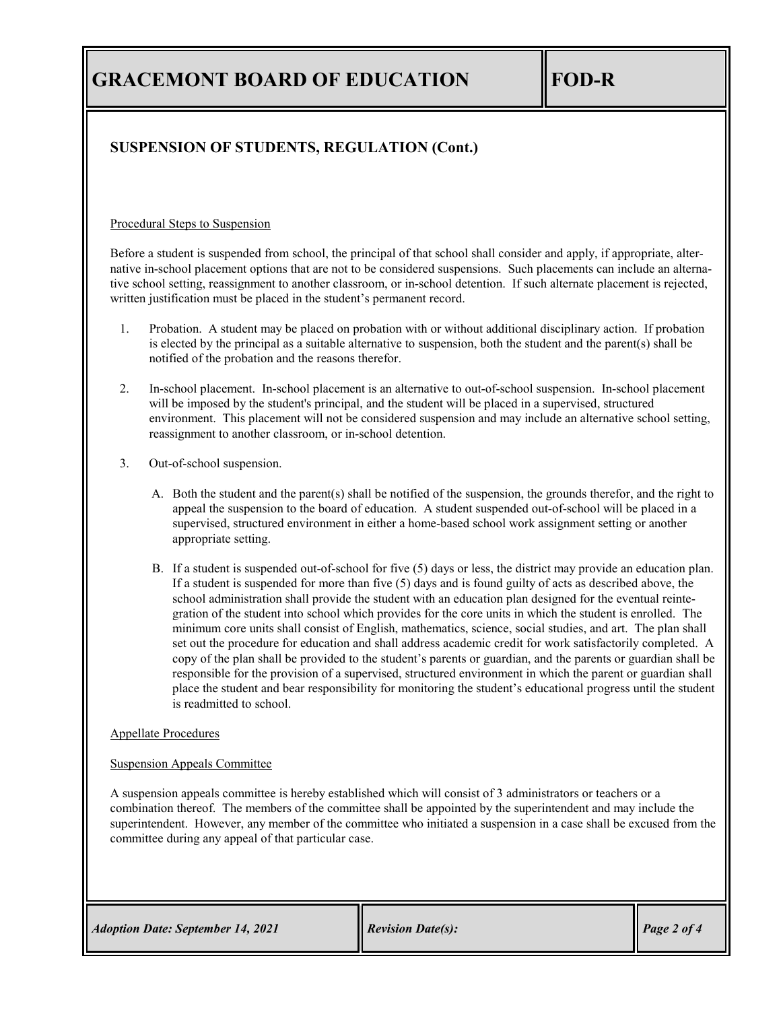## **SUSPENSION OF STUDENTS, REGULATION (Cont.)**

#### Procedural Steps to Suspension

Before a student is suspended from school, the principal of that school shall consider and apply, if appropriate, alternative in-school placement options that are not to be considered suspensions. Such placements can include an alternative school setting, reassignment to another classroom, or in-school detention. If such alternate placement is rejected, written justification must be placed in the student's permanent record.

- 1. Probation. A student may be placed on probation with or without additional disciplinary action. If probation is elected by the principal as a suitable alternative to suspension, both the student and the parent(s) shall be notified of the probation and the reasons therefor.
- 2. In-school placement. In-school placement is an alternative to out-of-school suspension. In-school placement will be imposed by the student's principal, and the student will be placed in a supervised, structured environment. This placement will not be considered suspension and may include an alternative school setting, reassignment to another classroom, or in-school detention.
- 3. Out-of-school suspension.
	- A. Both the student and the parent(s) shall be notified of the suspension, the grounds therefor, and the right to appeal the suspension to the board of education. A student suspended out-of-school will be placed in a supervised, structured environment in either a home-based school work assignment setting or another appropriate setting.
	- B. If a student is suspended out-of-school for five (5) days or less, the district may provide an education plan. If a student is suspended for more than five (5) days and is found guilty of acts as described above, the school administration shall provide the student with an education plan designed for the eventual reintegration of the student into school which provides for the core units in which the student is enrolled. The minimum core units shall consist of English, mathematics, science, social studies, and art. The plan shall set out the procedure for education and shall address academic credit for work satisfactorily completed. A copy of the plan shall be provided to the student's parents or guardian, and the parents or guardian shall be responsible for the provision of a supervised, structured environment in which the parent or guardian shall place the student and bear responsibility for monitoring the student's educational progress until the student is readmitted to school.

#### Appellate Procedures

#### Suspension Appeals Committee

A suspension appeals committee is hereby established which will consist of 3 administrators or teachers or a combination thereof. The members of the committee shall be appointed by the superintendent and may include the superintendent. However, any member of the committee who initiated a suspension in a case shall be excused from the committee during any appeal of that particular case.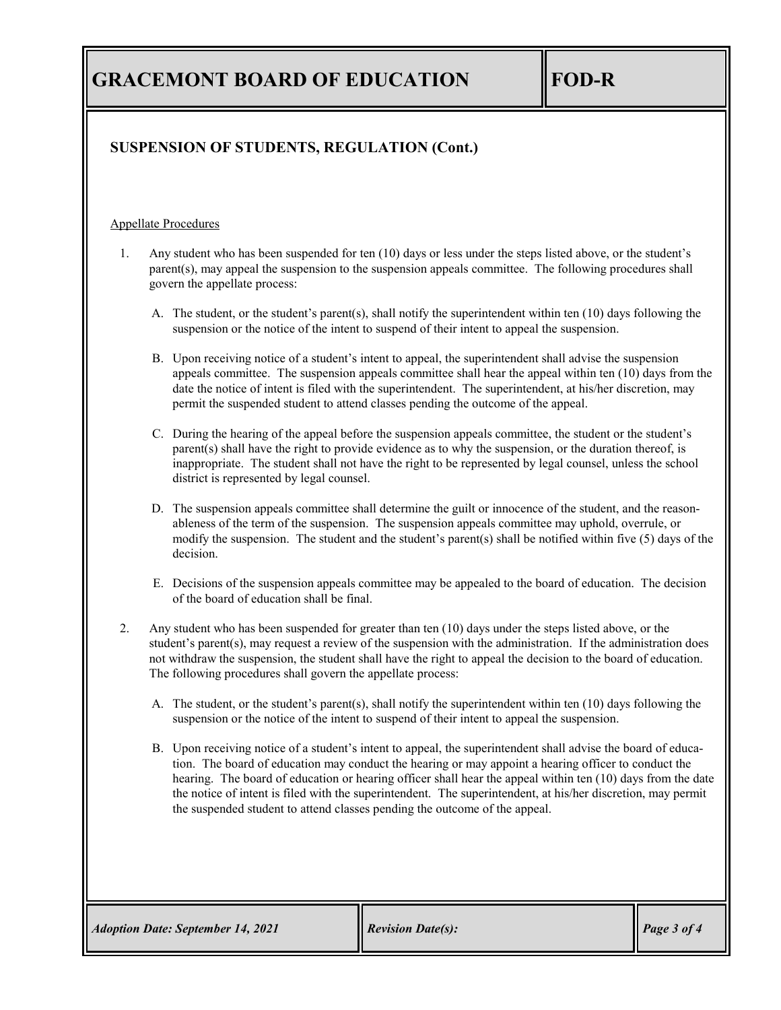# **GRACEMONT BOARD OF EDUCATION FOD-R**

### **SUSPENSION OF STUDENTS, REGULATION (Cont.)**

#### Appellate Procedures

- 1. Any student who has been suspended for ten (10) days or less under the steps listed above, or the student's parent(s), may appeal the suspension to the suspension appeals committee. The following procedures shall govern the appellate process:
	- A. The student, or the student's parent(s), shall notify the superintendent within ten (10) days following the suspension or the notice of the intent to suspend of their intent to appeal the suspension.
	- B. Upon receiving notice of a student's intent to appeal, the superintendent shall advise the suspension appeals committee. The suspension appeals committee shall hear the appeal within ten (10) days from the date the notice of intent is filed with the superintendent. The superintendent, at his/her discretion, may permit the suspended student to attend classes pending the outcome of the appeal.
	- C. During the hearing of the appeal before the suspension appeals committee, the student or the student's parent(s) shall have the right to provide evidence as to why the suspension, or the duration thereof, is inappropriate. The student shall not have the right to be represented by legal counsel, unless the school district is represented by legal counsel.
	- D. The suspension appeals committee shall determine the guilt or innocence of the student, and the reasonableness of the term of the suspension. The suspension appeals committee may uphold, overrule, or modify the suspension. The student and the student's parent(s) shall be notified within five (5) days of the decision.
	- E. Decisions of the suspension appeals committee may be appealed to the board of education. The decision of the board of education shall be final.
- 2. Any student who has been suspended for greater than ten (10) days under the steps listed above, or the student's parent(s), may request a review of the suspension with the administration. If the administration does not withdraw the suspension, the student shall have the right to appeal the decision to the board of education. The following procedures shall govern the appellate process:
	- A. The student, or the student's parent(s), shall notify the superintendent within ten (10) days following the suspension or the notice of the intent to suspend of their intent to appeal the suspension.
	- B. Upon receiving notice of a student's intent to appeal, the superintendent shall advise the board of education. The board of education may conduct the hearing or may appoint a hearing officer to conduct the hearing. The board of education or hearing officer shall hear the appeal within ten (10) days from the date the notice of intent is filed with the superintendent. The superintendent, at his/her discretion, may permit the suspended student to attend classes pending the outcome of the appeal.